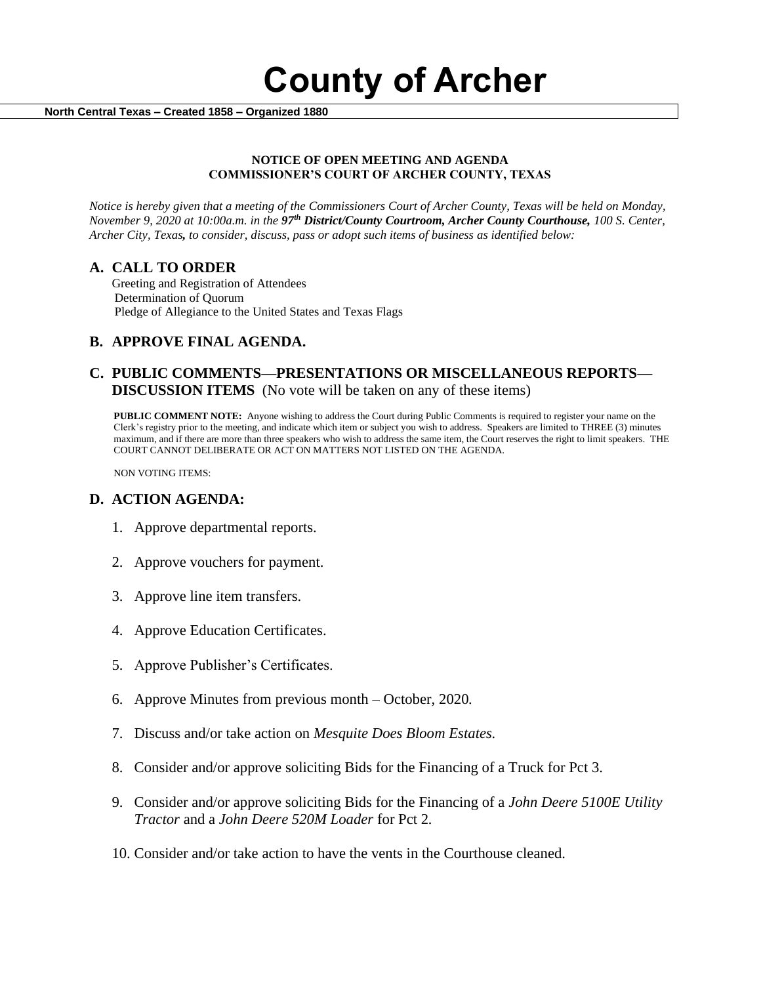**County of Archer** 

 **North Central Texas – Created 1858 – Organized 1880**

#### **NOTICE OF OPEN MEETING AND AGENDA COMMISSIONER'S COURT OF ARCHER COUNTY, TEXAS**

*Notice is hereby given that a meeting of the Commissioners Court of Archer County, Texas will be held on Monday, November 9, 2020 at 10:00a.m. in the 97th District/County Courtroom, Archer County Courthouse, 100 S. Center, Archer City, Texas, to consider, discuss, pass or adopt such items of business as identified below:*

#### **A. CALL TO ORDER**

 Greeting and Registration of Attendees Determination of Quorum Pledge of Allegiance to the United States and Texas Flags

## **B. APPROVE FINAL AGENDA.**

## **C. PUBLIC COMMENTS—PRESENTATIONS OR MISCELLANEOUS REPORTS— DISCUSSION ITEMS** (No vote will be taken on any of these items)

**PUBLIC COMMENT NOTE:** Anyone wishing to address the Court during Public Comments is required to register your name on the Clerk's registry prior to the meeting, and indicate which item or subject you wish to address. Speakers are limited to THREE (3) minutes maximum, and if there are more than three speakers who wish to address the same item, the Court reserves the right to limit speakers. THE COURT CANNOT DELIBERATE OR ACT ON MATTERS NOT LISTED ON THE AGENDA.

NON VOTING ITEMS:

#### **D. ACTION AGENDA:**

- 1. Approve departmental reports.
- 2. Approve vouchers for payment.
- 3. Approve line item transfers.
- 4. Approve Education Certificates.
- 5. Approve Publisher's Certificates.
- 6. Approve Minutes from previous month October, 2020*.*
- 7. Discuss and/or take action on *Mesquite Does Bloom Estates.*
- 8. Consider and/or approve soliciting Bids for the Financing of a Truck for Pct 3.
- 9. Consider and/or approve soliciting Bids for the Financing of a *John Deere 5100E Utility Tractor* and a *John Deere 520M Loader* for Pct 2*.*
- 10. Consider and/or take action to have the vents in the Courthouse cleaned.